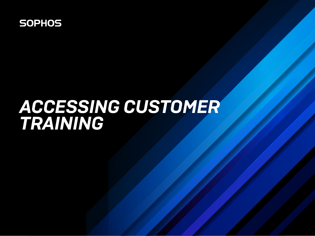

# *ACCESSING CUSTOMER TRAINING*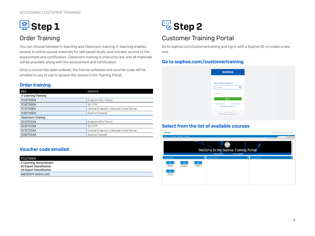

## Order Training

You can choose between E-learning and Classroom training. E-learning enables access to online course materials for self paced study, and includes access to the assessment and certification. Classroom training is instructor-led, and all materials will be provided, along with the assessment and certification.

Once a course has been ordered, the license schedule and voucher code will be emailed to you to use to access the course in the Training Portal.

#### Order training

| <b>SKU</b>                 | <b>SERVICE</b>                           |  |
|----------------------------|------------------------------------------|--|
| <b>E-Learning Training</b> |                                          |  |
| <b>TC1ZTSSEN</b>           | Endpoint (On-Prem)                       |  |
| <b>TC3ZTSSEN</b>           | <b>SG UTM</b>                            |  |
| <b>TC7ZTSSEN</b>           | Central Endpoint, Intercept X and Server |  |
| <b>TC8ZTSSEN</b>           | Sophos Firewall                          |  |
| <b>Classroom Training</b>  |                                          |  |
| CC1ZTCCAA                  | Endpoint (On-Prem)                       |  |
| CC3ZTCCAA                  | <b>SG UTM</b>                            |  |
| CC7ZTCCAA                  | Central Endpoint, Intercept X and Server |  |
| CC8ZTCCAA                  | Sophos Firewall                          |  |

#### Voucher code emailed

| <b>TC1ZTSSEN</b>                |
|---------------------------------|
| E-Learning, Administrator       |
| <b>EU Export Classification</b> |
| <b>US Export Classification</b> |
| 9AE50374-D5541-223              |
|                                 |



## Customer Training Portal

Go to s[ophos.com/customertraining](http://Sophos.com/customertraining) and log in with a Sophos ID, or create a new one.

#### Go to [sophos.com/customertraining](http://Sophos.com/customertraining)

|                                                                                   | <b>SOPHOS</b>   |           |
|-----------------------------------------------------------------------------------|-----------------|-----------|
| Sign in with your Sophos ID                                                       |                 |           |
| Email address                                                                     |                 | $\bullet$ |
| Password                                                                          |                 | a         |
| Sign In                                                                           |                 |           |
| Create Sophos ID<br><b>Create Sophos Central Trial</b>                            | Forgot Password |           |
| Legal Privacy Cookies LearnMore<br>@ 1997 - 2020 Sophos Ltd. All rights reserved. |                 |           |

#### Select from the list of available courses